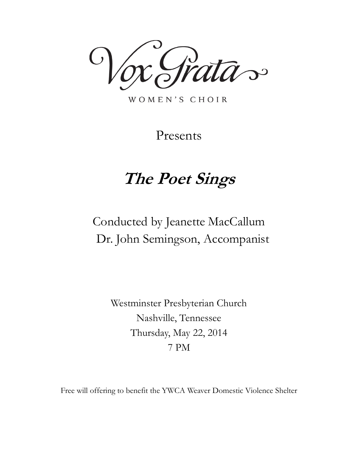das

WOMEN'S CHOIR

Presents

# **The Poet Sings**

# Conducted by Jeanette MacCallum Dr. John Semingson, Accompanist

Westminster Presbyterian Church Nashville, Tennessee Thursday, May 22, 2014 7 PM

Free will offering to benefit the YWCA Weaver Domestic Violence Shelter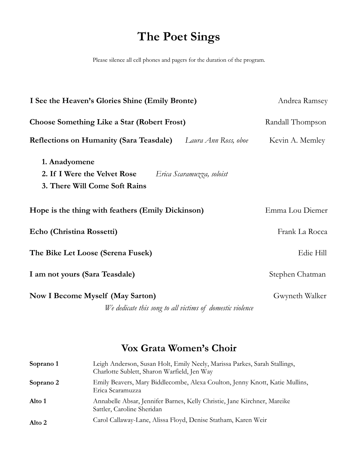# **The Poet Sings**

Please silence all cell phones and pagers for the duration of the program.

| Andrea Ramsey    |
|------------------|
| Randall Thompson |
| Kevin A. Memley  |
|                  |
| Emma Lou Diemer  |
| Frank La Rocca   |
| Edie Hill        |
| Stephen Chatman  |
| Gwyneth Walker   |
|                  |

## **Vox Grata Women's Choir**

| Soprano 1 | Leigh Anderson, Susan Holt, Emily Neely, Marissa Parkes, Sarah Stallings,<br>Charlotte Sublett, Sharon Warfield, Jen Way |
|-----------|--------------------------------------------------------------------------------------------------------------------------|
| Soprano 2 | Emily Beavers, Mary Biddlecombe, Alexa Coulton, Jenny Knott, Katie Mullins,<br>Erica Scaramuzza                          |
| Alto 1    | Annabelle Absar, Jennifer Barnes, Kelly Christie, Jane Kirchner, Mareike<br>Sattler, Caroline Sheridan                   |
| Alto 2    | Carol Callaway-Lane, Alissa Floyd, Denise Statham, Karen Weir                                                            |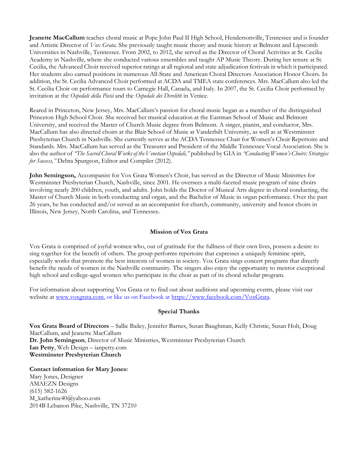**Jeanette MacCallum** teaches choral music at Pope John Paul II High School, Hendersonville, Tennessee and is founder and Artistic Director of *Vox Grata.* She previously taught music theory and music history at Belmont and Lipscomb Universities in Nashville, Tennessee. From 2002, to 2012, she served as the Director of Choral Activities at St. Cecilia Academy in Nashville, where she conducted various ensembles and taught AP Music Theory. During her tenure at St. Cecilia, the Advanced Choir received superior ratings at all regional and state adjudication festivals in which it participated. Her students also earned positions in numerous All-State and American Choral Directors Association Honor Choirs. In addition, the St. Cecilia Advanced Choir performed at ACDA and TMEA state conferences. Mrs. MacCallum also led the St. Cecilia Choir on performance tours to Carnegie Hall, Canada, and Italy. In 2007, the St. Cecilia Choir performed by invitation at the *Ospedale della Pietà* and the *Ospedale dei Derelitti* in Venice.

Reared in Princeton, New Jersey, Mrs. MacCallum's passion for choral music began as a member of the distinguished Princeton High School Choir. She received her musical education at the Eastman School of Music and Belmont University, and received the Master of Church Music degree from Belmont. A singer, pianist, and conductor, Mrs. MacCallum has also directed choirs at the Blair School of Music at Vanderbilt University, as well as at Westminster Presbyterian Church in Nashville. She currently serves as the ACDA Tennessee Chair for Women's Choir Repertoire and Standards. Mrs. MacCallum has served as the Treasurer and President of the Middle Tennessee Vocal Association. She is also the author of *"The Sacred Choral Works of the Venetian Ospedali,"* published by GIA in *"Conducting Women's Choirs: Strategies for Success,"* Debra Spurgeon, Editor and Compiler (2012).

**John Semingson,** Accompanist for Vox Grata Women's Choir, has served as the Director of Music Ministries for Westminster Presbyterian Church, Nashville, since 2001. He oversees a multi-faceted music program of nine choirs involving nearly 200 children, youth, and adults. John holds the Doctor of Musical Arts degree in choral conducting, the Master of Church Music in both conducting and organ, and the Bachelor of Music in organ performance. Over the past 26 years, he has conducted and/or served as an accompanist for church, community, university and honor choirs in Illinois, New Jersey, North Carolina, and Tennessee.

#### **Mission of Vox Grata**

Vox Grata is comprised of joyful women who, out of gratitude for the fullness of their own lives, possess a desire to sing together for the benefit of others. The group performs repertoire that expresses a uniquely feminine spirit, especially works that promote the best interests of women in society. Vox Grata sings concert programs that directly benefit the needs of women in the Nashville community. The singers also enjoy the opportunity to mentor exceptional high school and college-aged women who participate in the choir as part of its choral scholar program.

For information about supporting Vox Grata or to find out about auditions and upcoming events, please visit our website at [www.voxgrata.com,](http://www.voxgrata.com/) or like us on Facebook at [https://www.facebook.com/VoxGrata.](https://www.facebook.com/VoxGrata)

#### **Special Thanks**

**Vox Grata Board of Directors** – Sallie Bailey, Jennifer Barnes, Susan Baughman, Kelly Christie, Susan Holt, Doug MacCallum, and Jeanette MacCallum **Dr. John Semingson**, Director of Music Ministries, Westminster Presbyterian Church **Ian Petty**, Web Design – ianpetty.com **Westminster Presbyterian Church**

**Contact information for Mary Jones:** Mary Jones, Designer AMAEZN Designs (615) 582-1626 M\_katherine40@yahoo.com 2014B Lebanon Pike, Nashville, TN 37210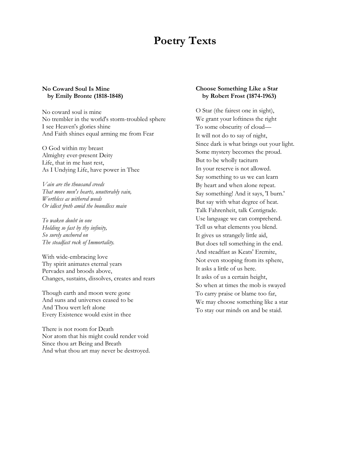## **Poetry Texts**

#### **No Coward Soul Is Mine by Emily Bronte (1818-1848)**

No coward soul is mine No trembler in the world's storm-troubled sphere I see Heaven's glories shine And Faith shines equal arming me from Fear

O God within my breast Almighty ever-present Deity Life, that in me hast rest, As I Undying Life, have power in Thee

*Vain are the thousand creeds That move men's hearts, unutterably vain, Worthless as withered weeds Or idlest froth amid the boundless main*

*To waken doubt in one Holding so fast by thy infinity, So surely anchored on The steadfast rock of Immortality.*

With wide-embracing love Thy spirit animates eternal years Pervades and broods above, Changes, sustains, dissolves, creates and rears

Though earth and moon were gone And suns and universes ceased to be And Thou wert left alone Every Existence would exist in thee

There is not room for Death Nor atom that his might could render void Since thou art Being and Breath And what thou art may never be destroyed.

#### **Choose Something Like a Star by Robert Frost (1874-1963)**

O Star (the fairest one in sight), We grant your loftiness the right To some obscurity of cloud— It will not do to say of night, Since dark is what brings out your light. Some mystery becomes the proud. But to be wholly taciturn In your reserve is not allowed. Say something to us we can learn By heart and when alone repeat. Say something! And it says, 'I burn.' But say with what degree of heat. Talk Fahrenheit, talk Centigrade. Use language we can comprehend. Tell us what elements you blend. It gives us strangely little aid, But does tell something in the end. And steadfast as Keats' Eremite, Not even stooping from its sphere, It asks a little of us here. It asks of us a certain height, So when at times the mob is swayed To carry praise or blame too far, We may choose something like a star To stay our minds on and be staid.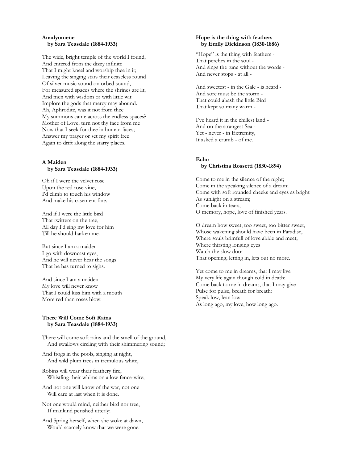#### **Anadyomene by Sara Teasdale (1884-1933)**

The wide, bright temple of the world I found, And entered from the dizzy infinite That I might kneel and worship thee in it; Leaving the singing stars their ceaseless round Of silver music sound on orbed sound, For measured spaces where the shrines are lit, And men with wisdom or with little wit Implore the gods that mercy may abound. Ah, Aphrodite, was it not from thee My summons came across the endless spaces? Mother of Love, turn not thy face from me Now that I seek for thee in human faces; Answer my prayer or set my spirit free Again to drift along the starry places.

#### **A Maiden by Sara Teasdale (1884-1933)**

Oh if I were the velvet rose Upon the red rose vine, I'd climb to touch his window And make his casement fine.

And if I were the little bird That twitters on the tree, All day I'd sing my love for him Till he should harken me.

But since I am a maiden I go with downcast eyes, And he will never hear the songs That he has turned to sighs.

And since I am a maiden My love will never know That I could kiss him with a mouth More red than roses blow.

#### **There Will Come Soft Rains by Sara Teasdale (1884-1933)**

There will come soft rains and the smell of the ground, And swallows circling with their shimmering sound;

And frogs in the pools, singing at night, And wild plum trees in tremulous white,

Robins will wear their feathery fire, Whistling their whims on a low fence-wire;

And not one will know of the war, not one Will care at last when it is done.

Not one would mind, neither bird nor tree, If mankind perished utterly;

And Spring herself, when she woke at dawn, Would scarcely know that we were gone.

#### **Hope is the thing with feathers by Emily Dickinson (1830-1886)**

"Hope" is the thing with feathers - That perches in the soul - And sings the tune without the words - And never stops - at all -

And sweetest - in the Gale - is heard - And sore must be the storm - That could abash the little Bird That kept so many warm -

I've heard it in the chillest land - And on the strangest Sea - Yet - never - in Extremity, It asked a crumb - of me.

#### **Echo by Christina Rossetti (1830-1894)**

Come to me in the silence of the night; Come in the speaking silence of a dream; Come with soft rounded cheeks and eyes as bright As sunlight on a stream; Come back in tears, O memory, hope, love of finished years.

O dream how sweet, too sweet, too bitter sweet, Whose wakening should have been in Paradise, Where souls brimfull of love abide and meet; Where thirsting longing eyes Watch the slow door That opening, letting in, lets out no more.

Yet come to me in dreams, that I may live My very life again though cold in death: Come back to me in dreams, that I may give Pulse for pulse, breath for breath: Speak low, lean low As long ago, my love, how long ago.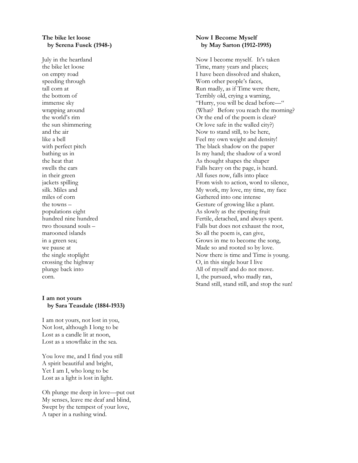#### **The bike let loose by Serena Fusek (1948-)**

July in the heartland the bike let loose on empty road speeding through tall corn at the bottom of immense sky wrapping around the world's rim the sun shimmering and the air like a bell with perfect pitch bathing us in the heat that swells the ears in their green jackets spilling silk. Miles and miles of corn the towns – populations eight hundred nine hundred two thousand souls – marooned islands in a green sea; we pause at the single stoplight crossing the highway plunge back into corn.

#### **I am not yours by Sara Teasdale (1884-1933)**

I am not yours, not lost in you, Not lost, although I long to be Lost as a candle lit at noon, Lost as a snowflake in the sea.

You love me, and I find you still A spirit beautiful and bright, Yet I am I, who long to be Lost as a light is lost in light.

Oh plunge me deep in love—put out My senses, leave me deaf and blind, Swept by the tempest of your love, A taper in a rushing wind.

#### **Now I Become Myself by May Sarton (1912-1995)**

Now I become myself. It's taken Time, many years and places; I have been dissolved and shaken, Worn other people's faces, Run madly, as if Time were there, Terribly old, crying a warning, "Hurry, you will be dead before—" (What? Before you reach the morning? Or the end of the poem is clear? Or love safe in the walled city?) Now to stand still, to be here, Feel my own weight and density! The black shadow on the paper Is my hand; the shadow of a word As thought shapes the shaper Falls heavy on the page, is heard. All fuses now, falls into place From wish to action, word to silence, My work, my love, my time, my face Gathered into one intense Gesture of growing like a plant. As slowly as the ripening fruit Fertile, detached, and always spent. Falls but does not exhaust the root, So all the poem is, can give, Grows in me to become the song, Made so and rooted so by love. Now there is time and Time is young. O, in this single hour I live All of myself and do not move. I, the pursued, who madly ran, Stand still, stand still, and stop the sun!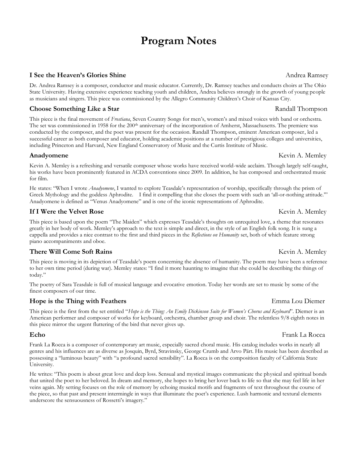## **Program Notes**

### **I See the Heaven's Glories Shine** Andrea Ramsey

Dr. Andrea Ramsey is a composer, conductor and music educator. Currently, Dr. Ramsey teaches and conducts choirs at The Ohio State University. Having extensive experience teaching youth and children, Andrea believes strongly in the growth of young people as musicians and singers. This piece was commissioned by the Allegro Community Children's Choir of Kansas City.

### **Choose Something Like a Star** *Randall Thompson* **Randall Thompson**

This piece is the final movement of *Frostiana*, Seven Country Songs for men's, women's and mixed voices with band or orchestra. The set was commissioned in 1958 for the 200<sup>th</sup> anniversary of the incorporation of Amherst, Massachusetts. The premiere was conducted by the composer, and the poet was present for the occasion. Randall Thompson, eminent American composer, led a successful career as both composer and educator, holding academic positions at a number of prestigious colleges and universities, including Princeton and Harvard, New England Conservatory of Music and the Curtis Institute of Music.

#### **Anadyomene Kevin A. Memley**

Kevin A. Memley is a refreshing and versatile composer whose works have received world-wide acclaim. Though largely self-taught, his works have been prominently featured in ACDA conventions since 2009. In addition, he has composed and orchestrated music for film.

He states: "When I wrote *Anadyomene*, I wanted to explore Teasdale's representation of worship, specifically through the prism of Greek Mythology and the goddess Aphrodite. I find it compelling that she closes the poem with such an 'all-or-nothing attitude.'" Anadyomene is defined as "Venus Anadyomene" and is one of the iconic representations of Aphrodite.

### **If I Were the Velvet Rose** Review A. Memley

This piece is based upon the poem "The Maiden" which expresses Teasdale's thoughts on unrequited love, a theme that resonates greatly in her body of work. Memley's approach to the text is simple and direct, in the style of an English folk song. It is sung a cappella and provides a nice contrast to the first and third pieces in the *Reflections on Humanity* set, both of which feature strong piano accompaniments and oboe.

#### **There Will Come Soft Rains Kevin A. Memley** Kevin A. Memley

This piece is moving in its depiction of Teasdale's poem concerning the absence of humanity. The poem may have been a reference to her own time period (during war). Memley states: "I find it more haunting to imagine that she could be describing the things of today."

The poetry of Sara Teasdale is full of musical language and evocative emotion. Today her words are set to music by some of the finest composers of our time.

### **Hope is the Thing with Feathers Emma** Lou Diemer

This piece is the first from the set entitled "*Hope is the Thing: An Emily Dickinson Suite for Women's Chorus and Keyboard*". Diemer is an American performer and composer of works for keyboard, orchestra, chamber group and choir. The relentless 9/8 eighth notes in this piece mirror the urgent fluttering of the bird that never gives up.

Frank La Rocca is a composer of contemporary art music, especially sacred choral music. His catalog includes works in nearly all genres and his influences are as diverse as Josquin, Byrd, Stravinsky, George Crumb and Arvo Pärt. His music has been described as possessing a "luminous beauty" with "a profound sacred sensibility". La Rocca is on the composition faculty of California State University.

He writes: "This poem is about great love and deep loss. Sensual and mystical images communicate the physical and spiritual bonds that united the poet to her beloved. In dream and memory, she hopes to bring her lover back to life so that she may feel life in her veins again. My setting focuses on the role of memory by echoing musical motifs and fragments of text throughout the course of the piece, so that past and present intermingle in ways that illuminate the poet's experience. Lush harmonic and textural elements underscore the sensuousness of Rossetti's imagery."

#### **Echo** Frank La Rocca